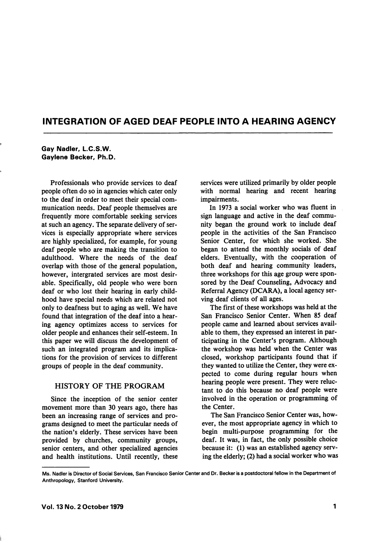# INTEGRATION OF AGED DEAF PEOPLE INTO A HEARING AGENCY

#### Gay Nadler, L.C.S.W. Gaylene Becker, Ph.D.

Professionals who provide services to deaf people often do so in agencies which cater only to the deaf in order to meet their special com munication needs. Deaf people themselves are frequently more comfortable seeking services at such an agency. The separate delivery of ser vices is especially appropriate where services are highly specialized, for example, for young deaf people who are making the transition to adulthood. Where the needs of the deaf overlap with those of the general population, however, intergrated services are most desir able. Specifically, old people who were born deaf or who lost their hearing in early child hood have special needs which are related not only to deafness but to aging as well. We have found that integration of the deaf into a hear ing agency optimizes access to services for older people and enhances their self-esteem. In this paper we will discuss the development of such an integrated program and its implica tions for the provision of services to different groups of people in the deaf community.

## HISTORY OF THE PROGRAM

Since the inception of the senior center movement more than 30 years ago, there has been an increasing range of services and pro grams designed to meet the particular needs of the nation's elderly. These services have been provided by churches, community groups, senior centers, and other specialized agencies and health institutions. Until recently, these services were utilized primarily by older people with normal hearing and recent hearing impairments.

In 1973 a social worker who was fluent in sign language and active in the deaf commu nity began the ground work to include deaf people in the activities of the San Francisco Senior Center, for which she worked. She began to attend the monthly socials of deaf elders. Eventually, with the cooperation of both deaf and hearing community leaders, three workshops for this age group were spon sored by the Deaf Counseling, Advocacy and Referral Agency (DCARA), a local agency ser ving deaf clients of all ages.

The first of these workshops was held at the San Francisco Senior Center. When 85 deaf people came and learned about services avail able to them, they expressed an interest in par ticipating in the Center's program. Although the workshop was held when the Center was closed, workshop participants found that if they wanted to utilize the Center, they were ex pected to come during regular hours when hearing people were present. They were reluc tant to do this because no deaf people were involved in the operation or programming of the Center.

The San Francisco Senior Center was, how ever, the most appropriate agency in which to begin multi-purpose programming for the deaf. It was, in fact, the only possible choice because it: (1) was an established agency serv ing the elderly; (2) had a social worker who was

Ms. Nadler is Director of Social Services, San Francisco Senior Center and Dr. Becker is a postdoctoral fellow in the Department of Anthropology, Stanford University.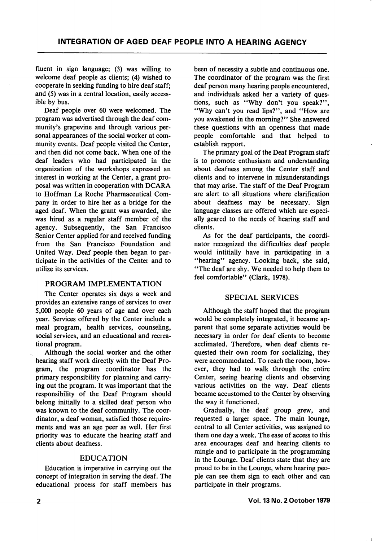fluent in sign language; (3) was willing to welcome deaf people as clients; (4) wished to cooperate in seeking funding to hire deaf staff; and (5) was in a central location, easily access ible by bus.

Deaf people over 60 were welcomed. The program was advertised through the deaf com munity's grapevine and through various per sonal appearances of the social worker at com munity events. Deaf people visited the Center, and then did not come back. When one of the deaf leaders who had participated in the organization of the workshops expressed an interest in working at the Center, a grant pro posal was written in cooperation with DCARA to Hoffman La Roche Pharmaceutical Com pany in order to hire her as a bridge for the aged deaf. When the grant was awarded, she was hired as a regular staff member of the agency. Subsequently, the San Francisco Senior Center applied for and received funding from the San Francisco Foundation and United Way. Deaf people then began to par ticipate in the activities of the Center and to utilize its services.

## PROGRAM IMPLEMENTATION

The Center operates six days a week and provides an extensive range of services to over 5,000 people 60 years of age and over each year. Services offered by the Center include a meal program, health services, counseling, social services, and an educational and recrea tional program.

Although the social worker and the other hearing staff work directly with the Deaf Pro gram, the program coordinator has the primary responsibility for planning and carry ing out the program. It was important that the responsibility of the Deaf Program should belong initially to a skilled deaf person who was known to the deaf community. The coor dinator, a deaf woman, satisfied those require ments and was an age peer as well. Her first priority was to educate the hearing staff and clients about deafness.

## EDUCATION

Education is imperative in carrying out the concept of integration in serving the deaf. The educational process for staff members has been of necessity a subtle and continuous one. The coordinator of the program was the first deaf person many hearing people encountered, and individuals asked her a variety of ques tions, such as ''Why don't you speak?", "Why can't you read lips?", and "How are you awakened in the morning?" She answered these questions with an openness that made people comfortable and that helped to establish rapport.

The primary goal of the Deaf Program staff is to promote enthusiasm and understanding about deafness among the Center staff and clients and to intervene in misunderstandings that may arise. The staff of the Deaf Program are alert to all situations where clarification about deafness may be necessary. Sign language classes are offered which are especi ally geared to the needs of hearing staff and clients.

As for the deaf participants, the coordi nator recognized the difficulties deaf people would intitially have in participating in a "hearing" agency. Looking back, she said, "The deaf are shy. We needed to help them to feel comfortable" (Clark, 1978).

## SPECIAL SERVICES

Although the staff hoped that the program would be completely integrated, it became ap parent that some separate activities would be necessary in order for deaf clients to become acclimated. Therefore, when deaf clients re quested their own room for socializing, they were accommodated. To reach the room, how ever, they had to walk through the entire Center, seeing hearing clients and observing various activities on the way. Deaf clients became accustomed to the Center by observing the way it functioned.

Gradually, the deaf group grew, and requested a larger space. The main lounge, central to all Center activities, was assigned to them one day a week. The ease of access to this area encourages deaf and hearing clients to mingle and to participate in the programming in the Lounge. Deaf clients state that they are proud to be in the Lounge, where hearing peo ple can see them sign to each other and can participate in their programs.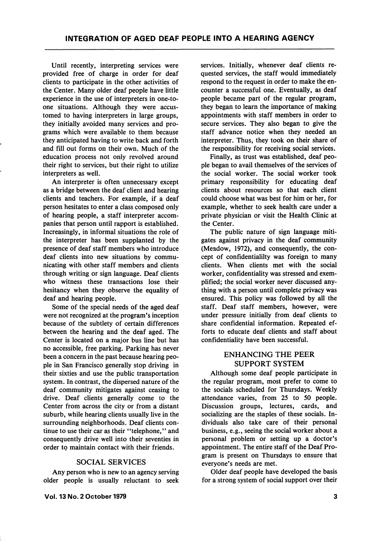Until recently, interpreting services were provided free of charge in order for deaf clients to participate in the other activities of the Center. Many older deaf people have little experience in the use of interpreters in one-toone situations. Although they were accus tomed to having interpreters in large groups, they initially avoided many services and pro grams which were available to them because they anticipated having to write back and forth and fill out forms on their own. Much of the education process not only revolved around their right to services, but their right to utilize interpreters as well.

An interpreter is often unnecessary except as a bridge between the deaf client and hearing clients and teachers. For example, if a deaf person hesitates to enter a class composed only of hearing people, a staff interpreter accom panies that person until rapport is established. Increasingly, in informal situations the role of the interpreter has been supplanted by the presence of deaf staff members who introduce deaf clients into new situations by commu nicating with other staff members and clients through writing or sign language. Deaf clients who witness these transactions lose their hesitancy when they observe the equality of deaf and hearing people.

Some of the special needs of the aged deaf were not recognized at the program's inception because of the subtlety of certain differences between the hearing and the deaf aged. The Center is located on a major bus line but has no accessible, free parking. Parking has never been a concern in the past because hearing peo ple in San Francisco generally stop driving in their sixties and use the public transportation system. In contrast, the dispersed nature of the deaf community mitigates against ceasing to drive. Deaf clients generally come to the Center from across the city or from a distant suburb, while hearing clients usually live in the surrounding neighborhoods. Deaf clients con tinue to use their car as their "telephone," and consequently drive well into their seventies in order to maintain contact with their friends.

#### SOCIAL SERVICES

Any person who is new to an agency serving older people is usually reluctant to seek

Vol. 13 No. 2 October 1979

services. Initially, whenever deaf clients re quested services, the staff would immediately respond to the request in order to make the en counter a successful one. Eventually, as deaf people became part of the regular program, they began to learn the importance of making appointments with staff members in order to secure services. They also began to give the staff advance notice when they needed an interpreter. Thus, they took on their share of the responsibility for receiving social services.

Finally, as trust was established, deaf peo ple began to avail themselves of the services of the social worker. The social worker took primary responsibility for educating deaf clients about resources so that each client could choose what was best for him or her, for example, whether to seek health care under a private physician or visit the Health Clinic at the Center.

The public nature of sign language miti gates against privacy in the deaf community (Meadow, 1972), and consequently, the con cept of confidentialilty was foreign to many clients. When clients met with the social worker, confidentiality was stressed and exem plified; the social worker never discussed any thing with a person until complete privacy was ensured. This policy was followed by all the staff. Deaf staff members, however, were under pressure initially from deaf clients to share confidential information. Repeated ef forts to educate deaf clients and staff about confidentiality have been successful.

## ENHANCING THE PEER SUPPORT SYSTEM

Although some deaf people participate in the regular program, most prefer to come to the socials scheduled for Thursdays. Weekly attendance varies, from 25 to 50 people. Discussion groups, lectures, cards, and socializing are the staples of these socials. In dividuals also take care of their personal business, e.g., seeing the social worker about a personal problem or setting up a doctor's appointment. The entire staff of the Deaf Pro gram is present on Thursdays to ensure that everyone's needs are met.

Older deaf people have developed the basis for a strong system of social support over their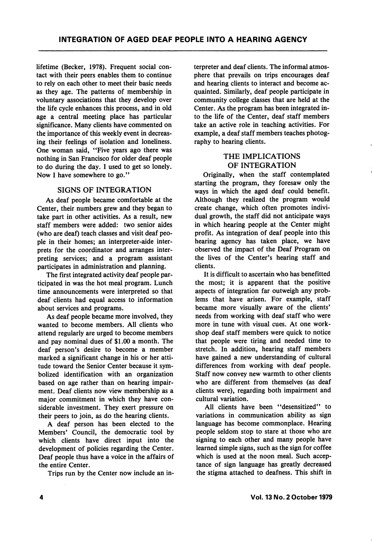lifetime (Becker, 1978). Frequent social con tact with their peers enables them to continue to rely on each other to meet their basic needs as they age. The patterns of membership in voluntary associations that they develop over the life cycle enhances this process, and in old age a central meeting place has particular significance. Many clients have commented on the importance of this weekly event in decreas ing their feelings of isolation and loneliness. One woman said, "Five years ago there was nothing in San Francisco for older deaf people to do during the day. I used to get so lonely. Now I have somewhere to go."

## SIGNS OF INTEGRATION

As deaf people became comfortable at the Center, their numbers grew and they began to take part in other activities. As a result, new staff members were added: two senior aides (who are deaf) teach classes and visit deaf peo ple in their homes; an interpreter-aide inter prets for the coordinator and arranges inter preting services; and a program assistant participates in administration and planning.

The first integrated activity deaf people par ticipated in was the hot meal program. Lunch time announcements were interpreted so that deaf clients had equal access to information about services and programs.

As deaf people became more involved, they wanted to become members. All clients who attend regularly are urged to become members and pay nominal dues of \$1.00 a month. The deaf person's desire to become a member marked a significant change in his or her atti tude toward the Senior Center because it sym bolized identification with an organization based on age rather than on hearing impair ment. Deaf clients now view membership as a major commitment in which they have con siderable investment. They exert pressure on their peers to join, as do the hearing clients.

A deaf person has been elected to the Members' Council, the democratic tool by which clients have direct input into the development of policies regarding the Center. Deaf people thus have a voice in the affairs of the entire Center.

Trips run by the Center now include an in

terpreter and deaf clients. The informal atmos phere that prevails on trips encourages deaf and hearing clients to interact and become ac quainted. Similarly, deaf people participate in community college classes that are held at the Center. As the program has been integrated in to the life of the Center, deaf staff members take an active role in teaching activities. For example, a deaf staff members teaches photog raphy to hearing clients.

## THE IMPLICATIONS OF INTEGRATION

Originally, when the staff contemplated starting the program, they foresaw only the ways in which the aged deaf could benefit. Although they realized the program would create change, which often promotes indivi dual growth, the staff did not anticipate ways in which hearing people at the Center might profit. As integration of deaf people into this hearing agency has taken place, we have observed the impact of the Deaf Program on the lives of the Center's hearing staff and clients.

It is difficult to ascertain who has benefitted the most; it is apparent that the positive aspects of integration far outweigh any prob lems that have arisen. For example, staff became more visually aware of the clients' needs from working with deaf staff who were more in tune with visual cues. At one work shop deaf staff members were quick to notice that people were tiring and needed time to stretch. In addition, hearing staff members have gained a new understanding of cultural differences from working with deaf people. Staff now convey new warmth to other clients who are different from themselves (as deaf clients were), regarding both impairment and cultural variation.

All clients have been "desensitized" to variations in communication ability as sign language has become commonplace. Hearing people seldom stop to stare at those who are signing to each other and many people have learned simple signs, such as the sign for coffee which is used at the noon meal. Such accep tance of sign language has greatly decreased the stigma attached to deafness. This shift in